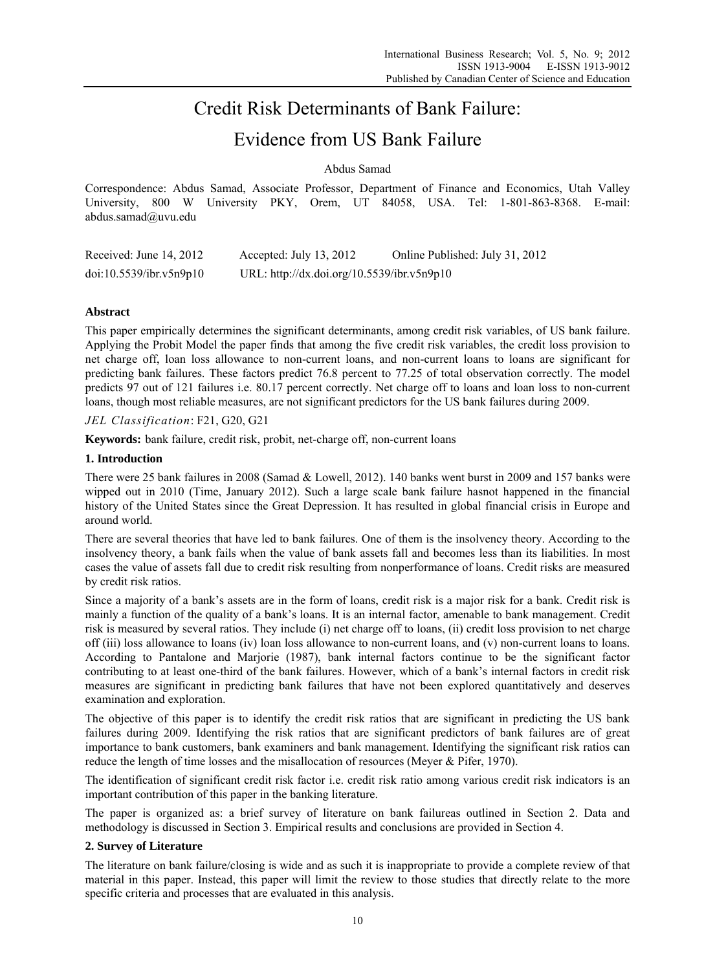# Credit Risk Determinants of Bank Failure:

# Evidence from US Bank Failure

## Abdus Samad

Correspondence: Abdus Samad, Associate Professor, Department of Finance and Economics, Utah Valley University, 800 W University PKY, Orem, UT 84058, USA. Tel: 1-801-863-8368. E-mail: abdus.samad@uvu.edu

| Received: June 14, 2012 | Accepted: July 13, 2012                    | Online Published: July 31, 2012 |
|-------------------------|--------------------------------------------|---------------------------------|
| doi:10.5539/ibr.v5n9p10 | URL: http://dx.doi.org/10.5539/ibr.v5n9p10 |                                 |

## **Abstract**

This paper empirically determines the significant determinants, among credit risk variables, of US bank failure. Applying the Probit Model the paper finds that among the five credit risk variables, the credit loss provision to net charge off, loan loss allowance to non-current loans, and non-current loans to loans are significant for predicting bank failures. These factors predict 76.8 percent to 77.25 of total observation correctly. The model predicts 97 out of 121 failures i.e. 80.17 percent correctly. Net charge off to loans and loan loss to non-current loans, though most reliable measures, are not significant predictors for the US bank failures during 2009.

*JEL Classification*: F21, G20, G21

**Keywords:** bank failure, credit risk, probit, net-charge off, non-current loans

## **1. Introduction**

There were 25 bank failures in 2008 (Samad & Lowell, 2012). 140 banks went burst in 2009 and 157 banks were wipped out in 2010 (Time, January 2012). Such a large scale bank failure hasnot happened in the financial history of the United States since the Great Depression. It has resulted in global financial crisis in Europe and around world.

There are several theories that have led to bank failures. One of them is the insolvency theory. According to the insolvency theory, a bank fails when the value of bank assets fall and becomes less than its liabilities. In most cases the value of assets fall due to credit risk resulting from nonperformance of loans. Credit risks are measured by credit risk ratios.

Since a majority of a bank's assets are in the form of loans, credit risk is a major risk for a bank. Credit risk is mainly a function of the quality of a bank's loans. It is an internal factor, amenable to bank management. Credit risk is measured by several ratios. They include (i) net charge off to loans, (ii) credit loss provision to net charge off (iii) loss allowance to loans (iv) loan loss allowance to non-current loans, and (v) non-current loans to loans. According to Pantalone and Marjorie (1987), bank internal factors continue to be the significant factor contributing to at least one-third of the bank failures. However, which of a bank's internal factors in credit risk measures are significant in predicting bank failures that have not been explored quantitatively and deserves examination and exploration.

The objective of this paper is to identify the credit risk ratios that are significant in predicting the US bank failures during 2009. Identifying the risk ratios that are significant predictors of bank failures are of great importance to bank customers, bank examiners and bank management. Identifying the significant risk ratios can reduce the length of time losses and the misallocation of resources (Meyer & Pifer, 1970).

The identification of significant credit risk factor i.e. credit risk ratio among various credit risk indicators is an important contribution of this paper in the banking literature.

The paper is organized as: a brief survey of literature on bank failureas outlined in Section 2. Data and methodology is discussed in Section 3. Empirical results and conclusions are provided in Section 4.

## **2. Survey of Literature**

The literature on bank failure/closing is wide and as such it is inappropriate to provide a complete review of that material in this paper. Instead, this paper will limit the review to those studies that directly relate to the more specific criteria and processes that are evaluated in this analysis.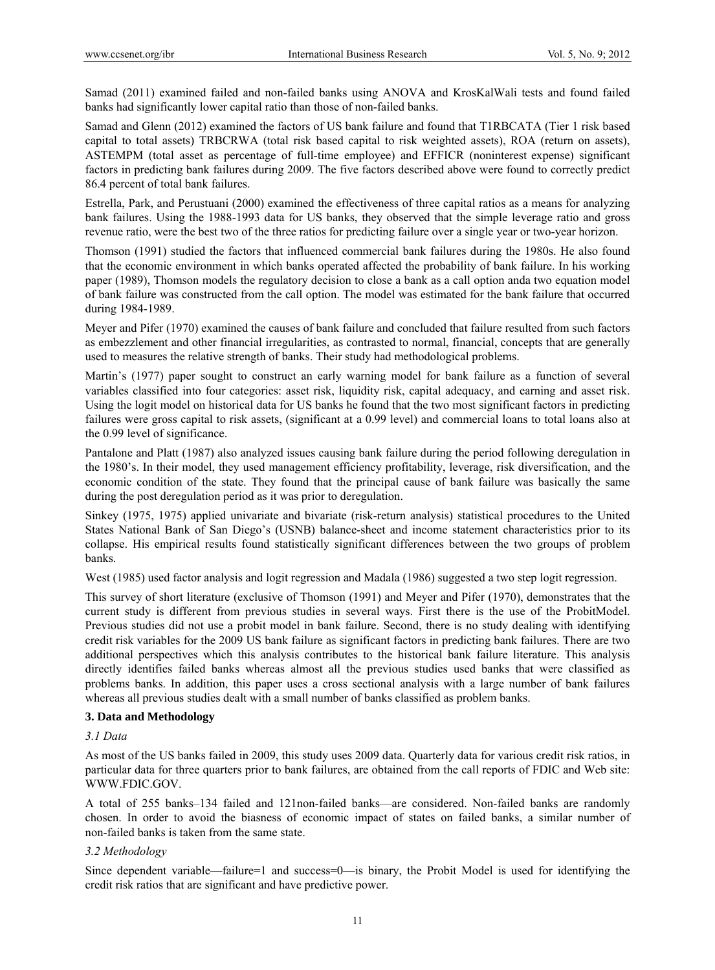Samad (2011) examined failed and non-failed banks using ANOVA and KrosKalWali tests and found failed banks had significantly lower capital ratio than those of non-failed banks.

Samad and Glenn (2012) examined the factors of US bank failure and found that T1RBCATA (Tier 1 risk based capital to total assets) TRBCRWA (total risk based capital to risk weighted assets), ROA (return on assets), ASTEMPM (total asset as percentage of full-time employee) and EFFICR (noninterest expense) significant factors in predicting bank failures during 2009. The five factors described above were found to correctly predict 86.4 percent of total bank failures.

Estrella, Park, and Perustuani (2000) examined the effectiveness of three capital ratios as a means for analyzing bank failures. Using the 1988-1993 data for US banks, they observed that the simple leverage ratio and gross revenue ratio, were the best two of the three ratios for predicting failure over a single year or two-year horizon.

Thomson (1991) studied the factors that influenced commercial bank failures during the 1980s. He also found that the economic environment in which banks operated affected the probability of bank failure. In his working paper (1989), Thomson models the regulatory decision to close a bank as a call option anda two equation model of bank failure was constructed from the call option. The model was estimated for the bank failure that occurred during 1984-1989.

Meyer and Pifer (1970) examined the causes of bank failure and concluded that failure resulted from such factors as embezzlement and other financial irregularities, as contrasted to normal, financial, concepts that are generally used to measures the relative strength of banks. Their study had methodological problems.

Martin's (1977) paper sought to construct an early warning model for bank failure as a function of several variables classified into four categories: asset risk, liquidity risk, capital adequacy, and earning and asset risk. Using the logit model on historical data for US banks he found that the two most significant factors in predicting failures were gross capital to risk assets, (significant at a 0.99 level) and commercial loans to total loans also at the 0.99 level of significance.

Pantalone and Platt (1987) also analyzed issues causing bank failure during the period following deregulation in the 1980's. In their model, they used management efficiency profitability, leverage, risk diversification, and the economic condition of the state. They found that the principal cause of bank failure was basically the same during the post deregulation period as it was prior to deregulation.

Sinkey (1975, 1975) applied univariate and bivariate (risk-return analysis) statistical procedures to the United States National Bank of San Diego's (USNB) balance-sheet and income statement characteristics prior to its collapse. His empirical results found statistically significant differences between the two groups of problem banks.

West (1985) used factor analysis and logit regression and Madala (1986) suggested a two step logit regression.

This survey of short literature (exclusive of Thomson (1991) and Meyer and Pifer (1970), demonstrates that the current study is different from previous studies in several ways. First there is the use of the ProbitModel. Previous studies did not use a probit model in bank failure. Second, there is no study dealing with identifying credit risk variables for the 2009 US bank failure as significant factors in predicting bank failures. There are two additional perspectives which this analysis contributes to the historical bank failure literature. This analysis directly identifies failed banks whereas almost all the previous studies used banks that were classified as problems banks. In addition, this paper uses a cross sectional analysis with a large number of bank failures whereas all previous studies dealt with a small number of banks classified as problem banks.

## **3. Data and Methodology**

### *3.1 Data*

As most of the US banks failed in 2009, this study uses 2009 data. Quarterly data for various credit risk ratios, in particular data for three quarters prior to bank failures, are obtained from the call reports of FDIC and Web site: WWW.FDIC.GOV.

A total of 255 banks–134 failed and 121non-failed banks—are considered. Non-failed banks are randomly chosen. In order to avoid the biasness of economic impact of states on failed banks, a similar number of non-failed banks is taken from the same state.

## *3.2 Methodology*

Since dependent variable—failure=1 and success=0—is binary, the Probit Model is used for identifying the credit risk ratios that are significant and have predictive power.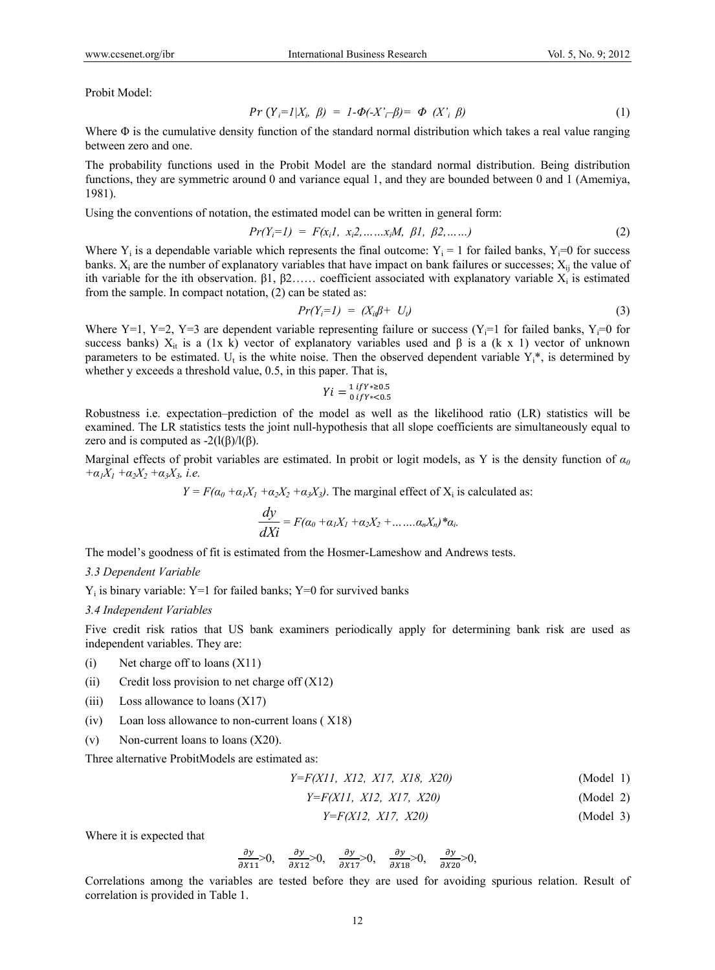Probit Model:

$$
Pr(Y_i=I|X_i, \beta) = I - \Phi(X_i-\beta) = \Phi(X_i, \beta) \tag{1}
$$

Where  $\Phi$  is the cumulative density function of the standard normal distribution which takes a real value ranging between zero and one.

The probability functions used in the Probit Model are the standard normal distribution. Being distribution functions, they are symmetric around 0 and variance equal 1, and they are bounded between 0 and 1 (Amemiya, 1981).

Using the conventions of notation, the estimated model can be written in general form:

$$
Pr(Y_i=1) = F(x_i1, x_i2, \dots, x_iM, \beta1, \beta2, \dots)
$$
 (2)

Where Y<sub>i</sub> is a dependable variable which represents the final outcome: Y<sub>i</sub> = 1 for failed banks, Y<sub>i</sub>=0 for success banks.  $X_i$  are the number of explanatory variables that have impact on bank failures or successes;  $X_{ii}$  the value of ith variable for the ith observation.  $\beta$ 1,  $\beta$ 2…… coefficient associated with explanatory variable  $X_i$  is estimated from the sample. In compact notation, (2) can be stated as:

$$
Pr(Y_i=1) = (X_{ij}\beta + U_j) \tag{3}
$$

Where Y=1, Y=2, Y=3 are dependent variable representing failure or success (Y<sub>i</sub>=1 for failed banks, Y<sub>i</sub>=0 for success banks)  $X_{it}$  is a (1x k) vector of explanatory variables used and  $\beta$  is a (k x 1) vector of unknown parameters to be estimated. U<sub>t</sub> is the white noise. Then the observed dependent variable Y<sub>i</sub><sup>\*</sup>, is determined by whether y exceeds a threshold value, 0.5, in this paper. That is,

$$
Yi = \frac{1 \text{ if } Y \ge 0.5}{0 \text{ if } Y \le 0.5}
$$

Robustness i.e. expectation–prediction of the model as well as the likelihood ratio (LR) statistics will be examined. The LR statistics tests the joint null-hypothesis that all slope coefficients are simultaneously equal to zero and is computed as  $-2(1(\beta)/1(\beta))$ .

Marginal effects of probit variables are estimated. In probit or logit models, as Y is the density function of *α<sup>0</sup>*  $+\alpha_1 X_1 + \alpha_2 X_2 + \alpha_3 X_3$ , *i.e.* 

*Y* =  $F(\alpha_0 + \alpha_1 X_1 + \alpha_2 X_2 + \alpha_3 X_3)$ . The marginal effect of  $X_i$  is calculated as:

$$
\frac{dy}{dXi} = F(\alpha_0 + \alpha_1 X_1 + \alpha_2 X_2 + \dots + \alpha_n X_n)^* \alpha_i.
$$

The model's goodness of fit is estimated from the Hosmer-Lameshow and Andrews tests.

#### *3.3 Dependent Variable*

 $Y_i$  is binary variable: Y=1 for failed banks; Y=0 for survived banks

#### *3.4 Independent Variables*

Five credit risk ratios that US bank examiners periodically apply for determining bank risk are used as independent variables. They are:

- $(i)$  Net charge off to loans  $(X11)$
- (ii) Credit loss provision to net charge off  $(X12)$
- (iii) Loss allowance to loans  $(X17)$
- (iv) Loan loss allowance to non-current loans ( X18)
- (v) Non-current loans to loans (X20).

Three alternative ProbitModels are estimated as:

$$
Y = F(X11, X12, X17, X18, X20)
$$
 (Model 1)

$$
Y = F(X11, X12, X17, X20) \tag{Model 2}
$$

$$
Y = F(X12, X17, X20) \tag{Model 3}
$$

Where it is expected that

$$
\frac{\partial y}{\partial x^{11}} > 0, \quad \frac{\partial y}{\partial x^{12}} > 0, \quad \frac{\partial y}{\partial x^{17}} > 0, \quad \frac{\partial y}{\partial x^{18}} > 0, \quad \frac{\partial y}{\partial x^{20}} > 0,
$$

Correlations among the variables are tested before they are used for avoiding spurious relation. Result of correlation is provided in Table 1.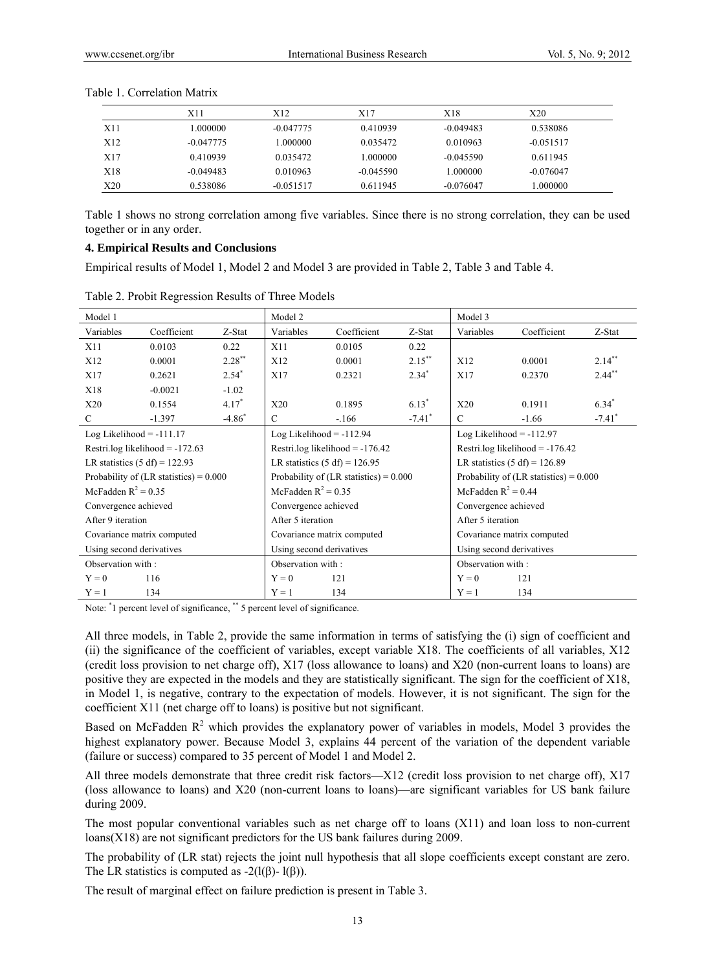|                 | X11         | X12         | X17         | X18         | X20         |  |
|-----------------|-------------|-------------|-------------|-------------|-------------|--|
| X11             | 000000      | $-0.047775$ | 0.410939    | $-0.049483$ | 0.538086    |  |
| X <sub>12</sub> | $-0.047775$ | 000000      | 0.035472    | 0.010963    | $-0.051517$ |  |
| X17             | 0.410939    | 0.035472    | 1.000000    | $-0.045590$ | 0.611945    |  |
| X18             | $-0.049483$ | 0.010963    | $-0.045590$ | .000000     | $-0.076047$ |  |
| X20             | 0.538086    | $-0.051517$ | 0.611945    | $-0.076047$ | 1.000000    |  |

Table 1. Correlation Matrix

Table 1 shows no strong correlation among five variables. Since there is no strong correlation, they can be used together or in any order.

#### **4. Empirical Results and Conclusions**

Empirical results of Model 1, Model 2 and Model 3 are provided in Table 2, Table 3 and Table 4.

| Model 1                                                  |                                                  |                      | Model 2                                          |             |                       | Model 3                                  |             |                      |  |
|----------------------------------------------------------|--------------------------------------------------|----------------------|--------------------------------------------------|-------------|-----------------------|------------------------------------------|-------------|----------------------|--|
| Variables                                                | Coefficient                                      | Z-Stat               | Variables                                        | Coefficient | Z-Stat                | Variables                                | Coefficient | Z-Stat               |  |
| X11                                                      | 0.0103                                           | 0.22                 | X11                                              | 0.0105      | 0.22                  |                                          |             |                      |  |
| X12                                                      | 0.0001                                           | $2.28***$            | X12                                              | 0.0001      | $2.15***$             | X12                                      | 0.0001      | $2.14***$            |  |
| X17                                                      | 0.2621                                           | $2.54^*$             | X17                                              | 0.2321      | $2.34^{*}$            | X17                                      | 0.2370      | $2.44$ <sup>**</sup> |  |
| X18                                                      | $-0.0021$                                        | $-1.02$              |                                                  |             |                       |                                          |             |                      |  |
| X20                                                      | 0.1554                                           | $4.17*$              | X20                                              | 0.1895      | $6.13*$               | X20                                      | 0.1911      | $6.34*$              |  |
| C                                                        | $-1.397$                                         | $-4.86$ <sup>*</sup> | C                                                | $-166$      | $-7.41$ <sup>*</sup>  | $\mathcal{C}$                            | $-1.66$     | $-7.41$ <sup>*</sup> |  |
| Log Likelihood $= -111.17$                               |                                                  |                      | Log Likelihood $= -112.94$                       |             |                       | Log Likelihood = $-112.97$               |             |                      |  |
| Restri.log likelihood $= -172.63$                        |                                                  |                      | Restri.log likelihood $= -176.42$                |             |                       | Restri.log likelihood $= -176.42$        |             |                      |  |
| LR statistics $(5 df) = 122.93$                          |                                                  |                      | LR statistics $(5 df) = 126.95$                  |             |                       | LR statistics $(5 df) = 126.89$          |             |                      |  |
|                                                          | Probability of $(LR \text{ statistics}) = 0.000$ |                      | Probability of $(LR \text{ statistics}) = 0.000$ |             |                       | Probability of (LR statistics) = $0.000$ |             |                      |  |
| McFadden $R^2 = 0.35$<br>McFadden $R^2 = 0.35$           |                                                  |                      |                                                  |             | McFadden $R^2 = 0.44$ |                                          |             |                      |  |
| Convergence achieved                                     |                                                  |                      | Convergence achieved                             |             |                       | Convergence achieved                     |             |                      |  |
| After 9 iteration                                        |                                                  |                      | After 5 iteration                                |             |                       | After 5 iteration                        |             |                      |  |
| Covariance matrix computed<br>Covariance matrix computed |                                                  |                      |                                                  |             |                       | Covariance matrix computed               |             |                      |  |
| Using second derivatives                                 |                                                  |                      | Using second derivatives                         |             |                       | Using second derivatives                 |             |                      |  |
| Observation with:                                        |                                                  |                      | Observation with:                                |             |                       | Observation with:                        |             |                      |  |
| $Y = 0$                                                  | 116                                              |                      | $Y = 0$<br>121                                   |             |                       | $Y = 0$<br>121                           |             |                      |  |
| $Y = 1$                                                  | 134                                              |                      | $Y = 1$                                          | 134         |                       | $Y = 1$                                  | 134         |                      |  |

Table 2. Probit Regression Results of Three Models

Note: \* 1 percent level of significance, \*\* 5 percent level of significance.

All three models, in Table 2, provide the same information in terms of satisfying the (i) sign of coefficient and (ii) the significance of the coefficient of variables, except variable X18. The coefficients of all variables, X12 (credit loss provision to net charge off), X17 (loss allowance to loans) and X20 (non-current loans to loans) are positive they are expected in the models and they are statistically significant. The sign for the coefficient of X18, in Model 1, is negative, contrary to the expectation of models. However, it is not significant. The sign for the coefficient X11 (net charge off to loans) is positive but not significant.

Based on McFadden  $R^2$  which provides the explanatory power of variables in models, Model 3 provides the highest explanatory power. Because Model 3, explains 44 percent of the variation of the dependent variable (failure or success) compared to 35 percent of Model 1 and Model 2.

All three models demonstrate that three credit risk factors—X12 (credit loss provision to net charge off), X17 (loss allowance to loans) and X20 (non-current loans to loans)—are significant variables for US bank failure during 2009.

The most popular conventional variables such as net charge off to loans (X11) and loan loss to non-current loans(X18) are not significant predictors for the US bank failures during 2009.

The probability of (LR stat) rejects the joint null hypothesis that all slope coefficients except constant are zero. The LR statistics is computed as  $-2(1(\beta)-1(\beta))$ .

The result of marginal effect on failure prediction is present in Table 3.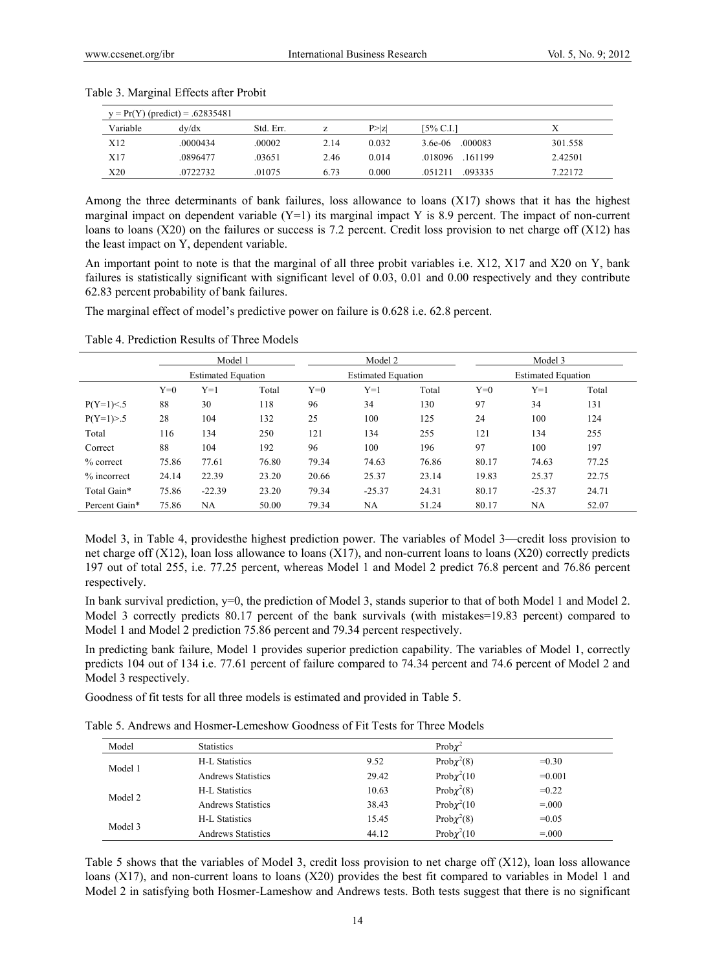|          | $y = Pr(Y)$ (predict) = .62835481 |           |      |        |                      |         |
|----------|-----------------------------------|-----------|------|--------|----------------------|---------|
| Variable | dv/dx                             | Std. Err. |      | P >  Z | $[5\%$ C.I.]         |         |
| X12      | .0000434                          | .00002    | 2.14 | 0.032  | .000083<br>$3.6e-06$ | 301.558 |
| X17      | .0896477                          | .03651    | 2.46 | 0.014  | .161199<br>.018096   | 2.42501 |
| X20      | .0722732                          | .01075    | 6.73 | 0.000  | .093335<br>.051211   | 7.22172 |

Table 3. Marginal Effects after Probit

Among the three determinants of bank failures, loss allowance to loans (X17) shows that it has the highest marginal impact on dependent variable  $(Y=1)$  its marginal impact Y is 8.9 percent. The impact of non-current loans to loans (X20) on the failures or success is 7.2 percent. Credit loss provision to net charge off (X12) has the least impact on Y, dependent variable.

An important point to note is that the marginal of all three probit variables i.e. X12, X17 and X20 on Y, bank failures is statistically significant with significant level of 0.03, 0.01 and 0.00 respectively and they contribute 62.83 percent probability of bank failures.

The marginal effect of model's predictive power on failure is 0.628 i.e. 62.8 percent.

|               |       | Model 1                   |       |       | Model 2                   |       |                           | Model 3  |       |
|---------------|-------|---------------------------|-------|-------|---------------------------|-------|---------------------------|----------|-------|
|               |       | <b>Estimated Equation</b> |       |       | <b>Estimated Equation</b> |       | <b>Estimated Equation</b> |          |       |
|               | $Y=0$ | $Y=1$                     | Total | $Y=0$ | $Y=1$                     | Total | $Y=0$                     | $Y=1$    | Total |
| $P(Y=1)$ <.5  | 88    | 30                        | 118   | 96    | 34                        | 130   | 97                        | 34       | 131   |
| $P(Y=1) > .5$ | 28    | 104                       | 132   | 25    | 100                       | 125   | 24                        | 100      | 124   |
| Total         | 116   | 134                       | 250   | 121   | 134                       | 255   | 121                       | 134      | 255   |
| Correct       | 88    | 104                       | 192   | 96    | 100                       | 196   | 97                        | 100      | 197   |
| $%$ correct   | 75.86 | 77.61                     | 76.80 | 79.34 | 74.63                     | 76.86 | 80.17                     | 74.63    | 77.25 |
| % incorrect   | 24.14 | 22.39                     | 23.20 | 20.66 | 25.37                     | 23.14 | 19.83                     | 25.37    | 22.75 |
| Total Gain*   | 75.86 | $-22.39$                  | 23.20 | 79.34 | $-25.37$                  | 24.31 | 80.17                     | $-25.37$ | 24.71 |
| Percent Gain* | 75.86 | NA                        | 50.00 | 79.34 | NA                        | 51.24 | 80.17                     | NA       | 52.07 |

Table 4. Prediction Results of Three Models

Model 3, in Table 4, providesthe highest prediction power. The variables of Model 3—credit loss provision to net charge off (X12), loan loss allowance to loans (X17), and non-current loans to loans (X20) correctly predicts 197 out of total 255, i.e. 77.25 percent, whereas Model 1 and Model 2 predict 76.8 percent and 76.86 percent respectively.

In bank survival prediction,  $y=0$ , the prediction of Model 3, stands superior to that of both Model 1 and Model 2. Model 3 correctly predicts 80.17 percent of the bank survivals (with mistakes=19.83 percent) compared to Model 1 and Model 2 prediction 75.86 percent and 79.34 percent respectively.

In predicting bank failure, Model 1 provides superior prediction capability. The variables of Model 1, correctly predicts 104 out of 134 i.e. 77.61 percent of failure compared to 74.34 percent and 74.6 percent of Model 2 and Model 3 respectively.

Goodness of fit tests for all three models is estimated and provided in Table 5.

Table 5. Andrews and Hosmer-Lemeshow Goodness of Fit Tests for Three Models

| Model   | <b>Statistics</b>         |       | Prob $\chi^2$     |           |
|---------|---------------------------|-------|-------------------|-----------|
| Model 1 | <b>H-L Statistics</b>     | 9.52  | Prob $\chi^2(8)$  | $=0.30$   |
|         | <b>Andrews Statistics</b> | 29.42 | Prob $x^2(10$     | $=0.001$  |
| Model 2 | H-L Statistics            | 10.63 | Prob $\chi^2(8)$  | $=0.22$   |
|         | <b>Andrews Statistics</b> | 38.43 | Prob $\chi^2(10)$ | $= 0.000$ |
| Model 3 | <b>H-L Statistics</b>     | 15.45 | Prob $\chi^2(8)$  | $=0.05$   |
|         | <b>Andrews Statistics</b> | 44.12 | Prob $\chi^2(10)$ | $= 0.000$ |

Table 5 shows that the variables of Model 3, credit loss provision to net charge off (X12), loan loss allowance loans (X17), and non-current loans to loans (X20) provides the best fit compared to variables in Model 1 and Model 2 in satisfying both Hosmer-Lameshow and Andrews tests. Both tests suggest that there is no significant